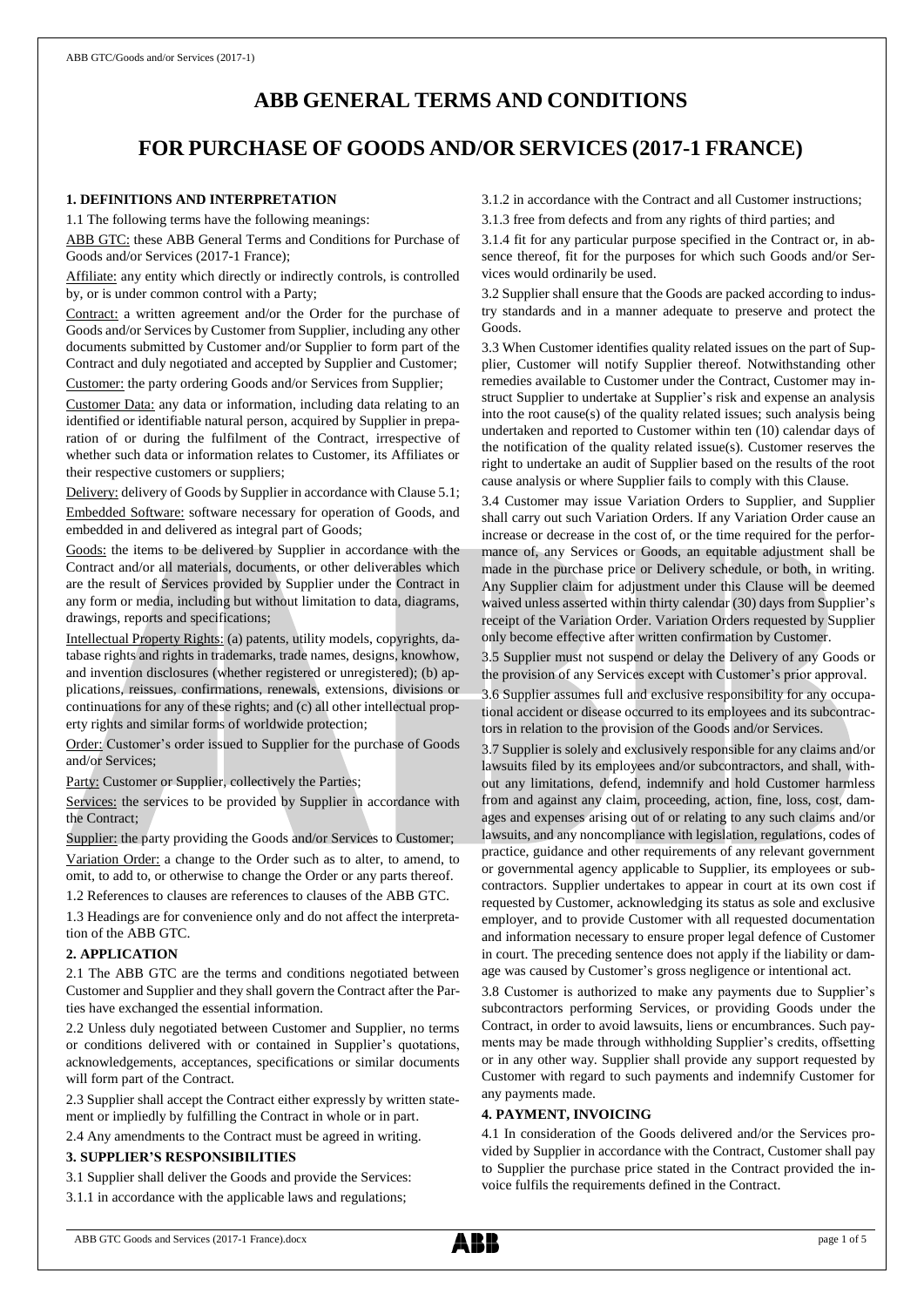# **ABB GENERAL TERMS AND CONDITIONS**

# **FOR PURCHASE OF GOODS AND/OR SERVICES (2017-1 FRANCE)**

### **1. DEFINITIONS AND INTERPRETATION**

1.1 The following terms have the following meanings:

ABB GTC: these ABB General Terms and Conditions for Purchase of Goods and/or Services (2017-1 France);

Affiliate: any entity which directly or indirectly controls, is controlled by, or is under common control with a Party;

Contract: a written agreement and/or the Order for the purchase of Goods and/or Services by Customer from Supplier, including any other documents submitted by Customer and/or Supplier to form part of the Contract and duly negotiated and accepted by Supplier and Customer;

Customer: the party ordering Goods and/or Services from Supplier;

Customer Data: any data or information, including data relating to an identified or identifiable natural person, acquired by Supplier in preparation of or during the fulfilment of the Contract, irrespective of whether such data or information relates to Customer, its Affiliates or their respective customers or suppliers;

Delivery: delivery of Goods by Supplier in accordance with Clause 5.1;

Embedded Software: software necessary for operation of Goods, and embedded in and delivered as integral part of Goods;

Goods: the items to be delivered by Supplier in accordance with the Contract and/or all materials, documents, or other deliverables which are the result of Services provided by Supplier under the Contract in any form or media, including but without limitation to data, diagrams, drawings, reports and specifications;

Intellectual Property Rights: (a) patents, utility models, copyrights, database rights and rights in trademarks, trade names, designs, knowhow, and invention disclosures (whether registered or unregistered); (b) applications, reissues, confirmations, renewals, extensions, divisions or continuations for any of these rights; and (c) all other intellectual property rights and similar forms of worldwide protection;

Order: Customer's order issued to Supplier for the purchase of Goods and/or Services;

Party: Customer or Supplier, collectively the Parties;

Services: the services to be provided by Supplier in accordance with the Contract;

Supplier: the party providing the Goods and/or Services to Customer; Variation Order: a change to the Order such as to alter, to amend, to omit, to add to, or otherwise to change the Order or any parts thereof. 1.2 References to clauses are references to clauses of the ABB GTC.

1.3 Headings are for convenience only and do not affect the interpretation of the ABB GTC.

# **2. APPLICATION**

2.1 The ABB GTC are the terms and conditions negotiated between Customer and Supplier and they shall govern the Contract after the Parties have exchanged the essential information.

2.2 Unless duly negotiated between Customer and Supplier, no terms or conditions delivered with or contained in Supplier's quotations, acknowledgements, acceptances, specifications or similar documents will form part of the Contract.

2.3 Supplier shall accept the Contract either expressly by written statement or impliedly by fulfilling the Contract in whole or in part.

2.4 Any amendments to the Contract must be agreed in writing.

#### **3. SUPPLIER'S RESPONSIBILITIES**

3.1 Supplier shall deliver the Goods and provide the Services:

3.1.1 in accordance with the applicable laws and regulations;

3.1.2 in accordance with the Contract and all Customer instructions;

3.1.3 free from defects and from any rights of third parties; and

3.1.4 fit for any particular purpose specified in the Contract or, in absence thereof, fit for the purposes for which such Goods and/or Services would ordinarily be used.

3.2 Supplier shall ensure that the Goods are packed according to industry standards and in a manner adequate to preserve and protect the Goods.

3.3 When Customer identifies quality related issues on the part of Supplier, Customer will notify Supplier thereof. Notwithstanding other remedies available to Customer under the Contract, Customer may instruct Supplier to undertake at Supplier's risk and expense an analysis into the root cause(s) of the quality related issues; such analysis being undertaken and reported to Customer within ten (10) calendar days of the notification of the quality related issue(s). Customer reserves the right to undertake an audit of Supplier based on the results of the root cause analysis or where Supplier fails to comply with this Clause.

3.4 Customer may issue Variation Orders to Supplier, and Supplier shall carry out such Variation Orders. If any Variation Order cause an increase or decrease in the cost of, or the time required for the performance of, any Services or Goods, an equitable adjustment shall be made in the purchase price or Delivery schedule, or both, in writing. Any Supplier claim for adjustment under this Clause will be deemed waived unless asserted within thirty calendar (30) days from Supplier's receipt of the Variation Order. Variation Orders requested by Supplier only become effective after written confirmation by Customer.

3.5 Supplier must not suspend or delay the Delivery of any Goods or the provision of any Services except with Customer's prior approval.

3.6 Supplier assumes full and exclusive responsibility for any occupational accident or disease occurred to its employees and its subcontractors in relation to the provision of the Goods and/or Services.

3.7 Supplier is solely and exclusively responsible for any claims and/or lawsuits filed by its employees and/or subcontractors, and shall, without any limitations, defend, indemnify and hold Customer harmless from and against any claim, proceeding, action, fine, loss, cost, damages and expenses arising out of or relating to any such claims and/or lawsuits, and any noncompliance with legislation, regulations, codes of practice, guidance and other requirements of any relevant government or governmental agency applicable to Supplier, its employees or subcontractors. Supplier undertakes to appear in court at its own cost if requested by Customer, acknowledging its status as sole and exclusive employer, and to provide Customer with all requested documentation and information necessary to ensure proper legal defence of Customer in court. The preceding sentence does not apply if the liability or damage was caused by Customer's gross negligence or intentional act.

3.8 Customer is authorized to make any payments due to Supplier's subcontractors performing Services, or providing Goods under the Contract, in order to avoid lawsuits, liens or encumbrances. Such payments may be made through withholding Supplier's credits, offsetting or in any other way. Supplier shall provide any support requested by Customer with regard to such payments and indemnify Customer for any payments made.

# **4. PAYMENT, INVOICING**

4.1 In consideration of the Goods delivered and/or the Services provided by Supplier in accordance with the Contract, Customer shall pay to Supplier the purchase price stated in the Contract provided the invoice fulfils the requirements defined in the Contract.

ABB GTC Goods and Services (2017-1 France).docx page 1 of 5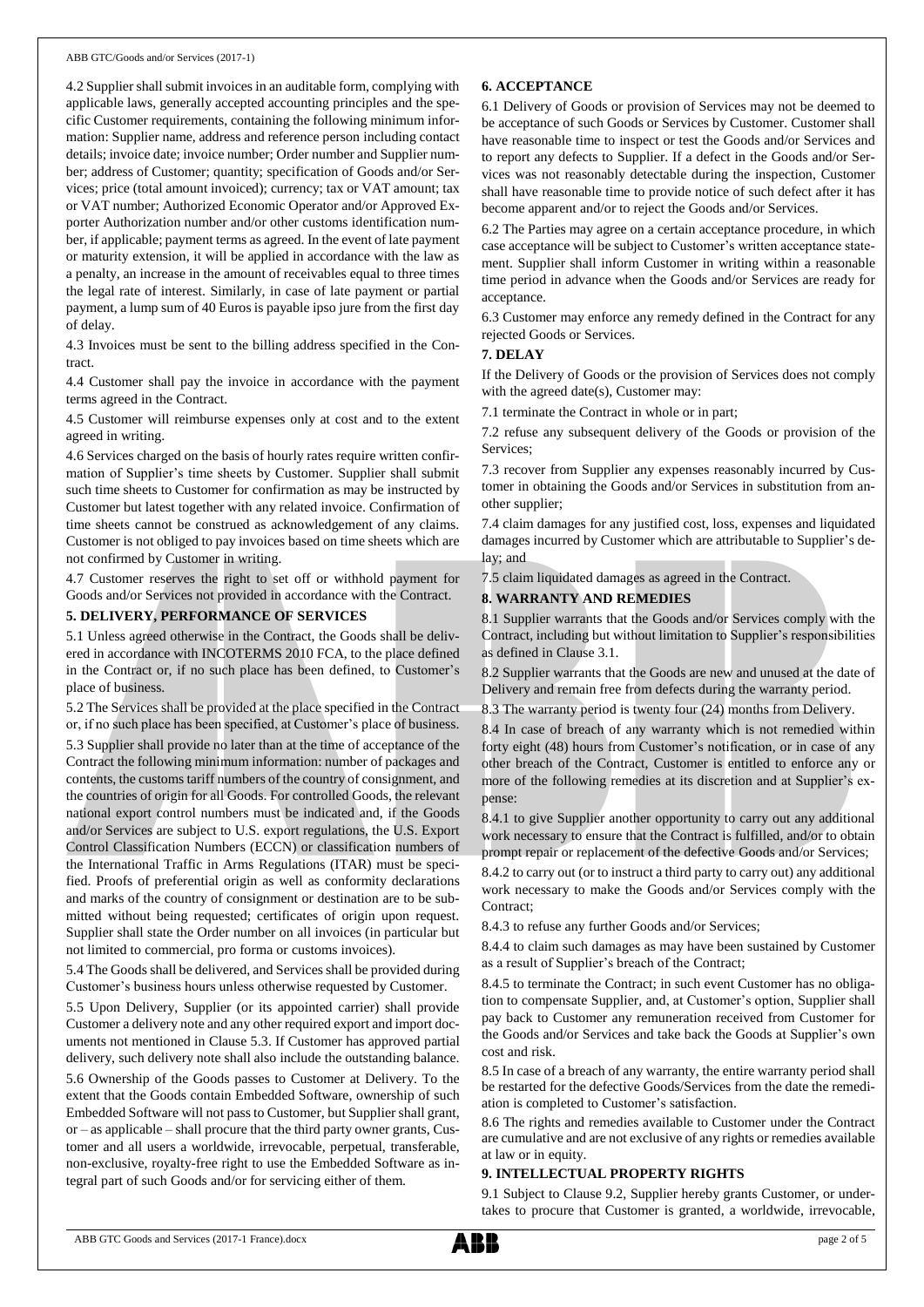4.2 Supplier shall submit invoices in an auditable form, complying with applicable laws, generally accepted accounting principles and the specific Customer requirements, containing the following minimum information: Supplier name, address and reference person including contact details; invoice date; invoice number; Order number and Supplier number; address of Customer; quantity; specification of Goods and/or Services; price (total amount invoiced); currency; tax or VAT amount; tax or VAT number; Authorized Economic Operator and/or Approved Exporter Authorization number and/or other customs identification number, if applicable; payment terms as agreed. In the event of late payment or maturity extension, it will be applied in accordance with the law as a penalty, an increase in the amount of receivables equal to three times the legal rate of interest. Similarly, in case of late payment or partial payment, a lump sum of 40 Euros is payable ipso jure from the first day of delay.

4.3 Invoices must be sent to the billing address specified in the Contract.

4.4 Customer shall pay the invoice in accordance with the payment terms agreed in the Contract.

4.5 Customer will reimburse expenses only at cost and to the extent agreed in writing.

4.6 Services charged on the basis of hourly rates require written confirmation of Supplier's time sheets by Customer. Supplier shall submit such time sheets to Customer for confirmation as may be instructed by Customer but latest together with any related invoice. Confirmation of time sheets cannot be construed as acknowledgement of any claims. Customer is not obliged to pay invoices based on time sheets which are not confirmed by Customer in writing.

4.7 Customer reserves the right to set off or withhold payment for Goods and/or Services not provided in accordance with the Contract.

#### **5. DELIVERY, PERFORMANCE OF SERVICES**

5.1 Unless agreed otherwise in the Contract, the Goods shall be delivered in accordance with INCOTERMS 2010 FCA, to the place defined in the Contract or, if no such place has been defined, to Customer's place of business.

5.2 The Services shall be provided at the place specified in the Contract or, if no such place has been specified, at Customer's place of business. 5.3 Supplier shall provide no later than at the time of acceptance of the Contract the following minimum information: number of packages and contents, the customs tariff numbers of the country of consignment, and the countries of origin for all Goods. For controlled Goods, the relevant national export control numbers must be indicated and, if the Goods and/or Services are subject to U.S. export regulations, the U.S. Export Control Classification Numbers (ECCN) or classification numbers of the International Traffic in Arms Regulations (ITAR) must be specified. Proofs of preferential origin as well as conformity declarations and marks of the country of consignment or destination are to be submitted without being requested; certificates of origin upon request. Supplier shall state the Order number on all invoices (in particular but not limited to commercial, pro forma or customs invoices).

5.4 The Goods shall be delivered, and Services shall be provided during Customer's business hours unless otherwise requested by Customer.

5.5 Upon Delivery, Supplier (or its appointed carrier) shall provide Customer a delivery note and any other required export and import documents not mentioned in Clause 5.3. If Customer has approved partial delivery, such delivery note shall also include the outstanding balance.

5.6 Ownership of the Goods passes to Customer at Delivery. To the extent that the Goods contain Embedded Software, ownership of such Embedded Software will not passto Customer, but Supplier shall grant, or – as applicable – shall procure that the third party owner grants, Customer and all users a worldwide, irrevocable, perpetual, transferable, non-exclusive, royalty-free right to use the Embedded Software as integral part of such Goods and/or for servicing either of them.

### **6. ACCEPTANCE**

6.1 Delivery of Goods or provision of Services may not be deemed to be acceptance of such Goods or Services by Customer. Customer shall have reasonable time to inspect or test the Goods and/or Services and to report any defects to Supplier. If a defect in the Goods and/or Services was not reasonably detectable during the inspection, Customer shall have reasonable time to provide notice of such defect after it has become apparent and/or to reject the Goods and/or Services.

6.2 The Parties may agree on a certain acceptance procedure, in which case acceptance will be subject to Customer's written acceptance statement. Supplier shall inform Customer in writing within a reasonable time period in advance when the Goods and/or Services are ready for acceptance.

6.3 Customer may enforce any remedy defined in the Contract for any rejected Goods or Services.

#### **7. DELAY**

If the Delivery of Goods or the provision of Services does not comply with the agreed date(s), Customer may:

7.1 terminate the Contract in whole or in part;

7.2 refuse any subsequent delivery of the Goods or provision of the Services;

7.3 recover from Supplier any expenses reasonably incurred by Customer in obtaining the Goods and/or Services in substitution from another supplier;

7.4 claim damages for any justified cost, loss, expenses and liquidated damages incurred by Customer which are attributable to Supplier's delay; and

7.5 claim liquidated damages as agreed in the Contract.

## **8. WARRANTY AND REMEDIES**

8.1 Supplier warrants that the Goods and/or Services comply with the Contract, including but without limitation to Supplier's responsibilities as defined in Clause 3.1.

8.2 Supplier warrants that the Goods are new and unused at the date of Delivery and remain free from defects during the warranty period.

8.3 The warranty period is twenty four (24) months from Delivery.

8.4 In case of breach of any warranty which is not remedied within forty eight (48) hours from Customer's notification, or in case of any other breach of the Contract, Customer is entitled to enforce any or more of the following remedies at its discretion and at Supplier's expense:

8.4.1 to give Supplier another opportunity to carry out any additional work necessary to ensure that the Contract is fulfilled, and/or to obtain prompt repair or replacement of the defective Goods and/or Services;

8.4.2 to carry out (or to instruct a third party to carry out) any additional work necessary to make the Goods and/or Services comply with the Contract;

8.4.3 to refuse any further Goods and/or Services;

8.4.4 to claim such damages as may have been sustained by Customer as a result of Supplier's breach of the Contract;

8.4.5 to terminate the Contract; in such event Customer has no obligation to compensate Supplier, and, at Customer's option, Supplier shall pay back to Customer any remuneration received from Customer for the Goods and/or Services and take back the Goods at Supplier's own cost and risk.

8.5 In case of a breach of any warranty, the entire warranty period shall be restarted for the defective Goods/Services from the date the remediation is completed to Customer's satisfaction.

8.6 The rights and remedies available to Customer under the Contract are cumulative and are not exclusive of any rights or remedies available at law or in equity.

#### **9. INTELLECTUAL PROPERTY RIGHTS**

9.1 Subject to Clause 9.2, Supplier hereby grants Customer, or undertakes to procure that Customer is granted, a worldwide, irrevocable,

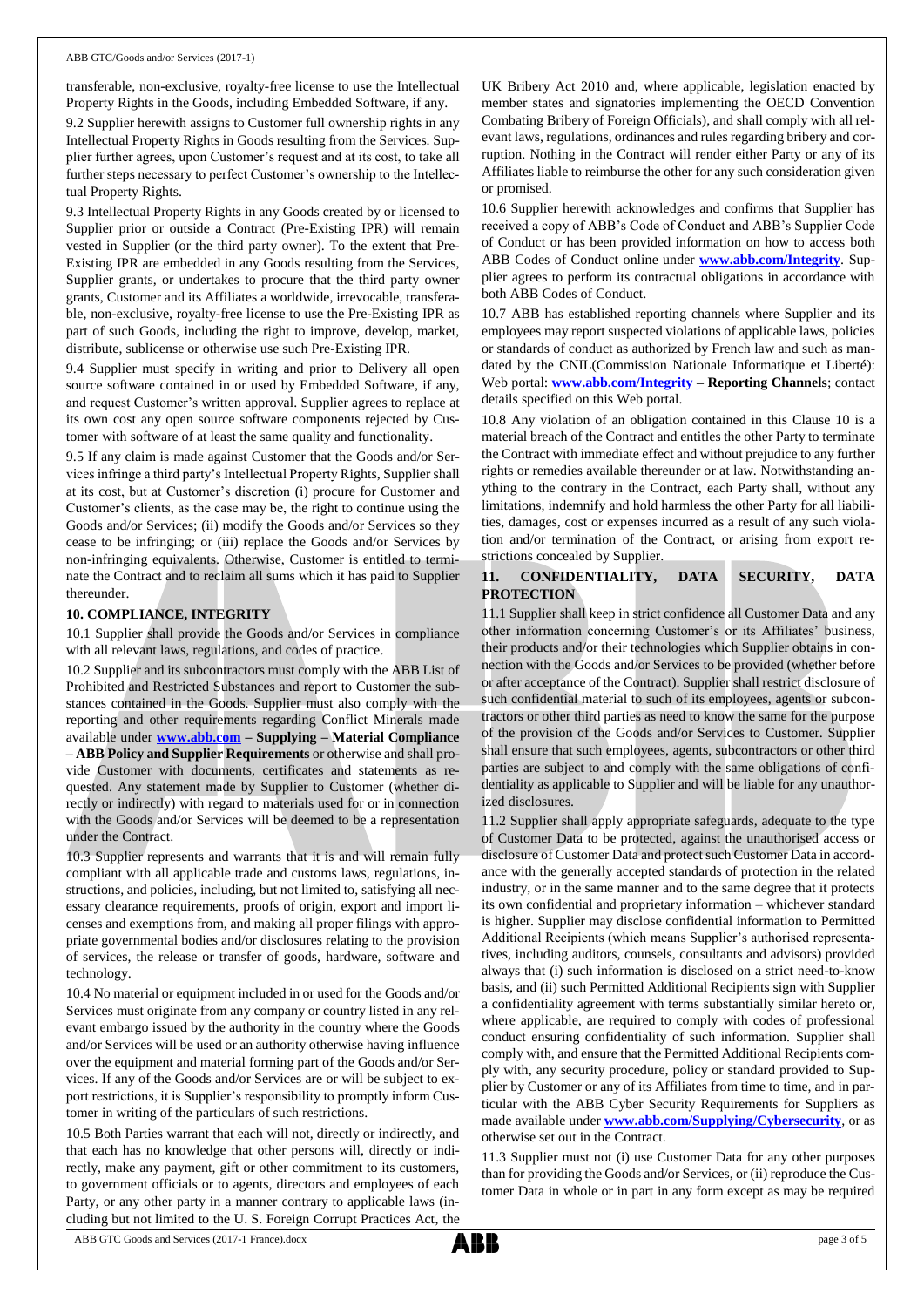transferable, non-exclusive, royalty-free license to use the Intellectual Property Rights in the Goods, including Embedded Software, if any.

9.2 Supplier herewith assigns to Customer full ownership rights in any Intellectual Property Rights in Goods resulting from the Services. Supplier further agrees, upon Customer's request and at its cost, to take all further steps necessary to perfect Customer's ownership to the Intellectual Property Rights.

9.3 Intellectual Property Rights in any Goods created by or licensed to Supplier prior or outside a Contract (Pre-Existing IPR) will remain vested in Supplier (or the third party owner). To the extent that Pre-Existing IPR are embedded in any Goods resulting from the Services, Supplier grants, or undertakes to procure that the third party owner grants, Customer and its Affiliates a worldwide, irrevocable, transferable, non-exclusive, royalty-free license to use the Pre-Existing IPR as part of such Goods, including the right to improve, develop, market, distribute, sublicense or otherwise use such Pre-Existing IPR.

9.4 Supplier must specify in writing and prior to Delivery all open source software contained in or used by Embedded Software, if any, and request Customer's written approval. Supplier agrees to replace at its own cost any open source software components rejected by Customer with software of at least the same quality and functionality.

9.5 If any claim is made against Customer that the Goods and/or Services infringe a third party's Intellectual Property Rights, Supplier shall at its cost, but at Customer's discretion (i) procure for Customer and Customer's clients, as the case may be, the right to continue using the Goods and/or Services; (ii) modify the Goods and/or Services so they cease to be infringing; or (iii) replace the Goods and/or Services by non-infringing equivalents. Otherwise, Customer is entitled to terminate the Contract and to reclaim all sums which it has paid to Supplier thereunder.

#### **10. COMPLIANCE, INTEGRITY**

10.1 Supplier shall provide the Goods and/or Services in compliance with all relevant laws, regulations, and codes of practice.

10.2 Supplier and its subcontractors must comply with the ABB List of Prohibited and Restricted Substances and report to Customer the substances contained in the Goods. Supplier must also comply with the reporting and other requirements regarding Conflict Minerals made available under **[www.abb.com](http://www.abb.com/) – Supplying – Material Compliance – ABB Policy and Supplier Requirements** or otherwise and shall provide Customer with documents, certificates and statements as requested. Any statement made by Supplier to Customer (whether directly or indirectly) with regard to materials used for or in connection with the Goods and/or Services will be deemed to be a representation under the Contract.

10.3 Supplier represents and warrants that it is and will remain fully compliant with all applicable trade and customs laws, regulations, instructions, and policies, including, but not limited to, satisfying all necessary clearance requirements, proofs of origin, export and import licenses and exemptions from, and making all proper filings with appropriate governmental bodies and/or disclosures relating to the provision of services, the release or transfer of goods, hardware, software and technology.

10.4 No material or equipment included in or used for the Goods and/or Services must originate from any company or country listed in any relevant embargo issued by the authority in the country where the Goods and/or Services will be used or an authority otherwise having influence over the equipment and material forming part of the Goods and/or Services. If any of the Goods and/or Services are or will be subject to export restrictions, it is Supplier's responsibility to promptly inform Customer in writing of the particulars of such restrictions.

10.5 Both Parties warrant that each will not, directly or indirectly, and that each has no knowledge that other persons will, directly or indirectly, make any payment, gift or other commitment to its customers, to government officials or to agents, directors and employees of each Party, or any other party in a manner contrary to applicable laws (including but not limited to the U. S. Foreign Corrupt Practices Act, the

UK Bribery Act 2010 and, where applicable, legislation enacted by member states and signatories implementing the OECD Convention Combating Bribery of Foreign Officials), and shall comply with all relevant laws, regulations, ordinances and rules regarding bribery and corruption. Nothing in the Contract will render either Party or any of its Affiliates liable to reimburse the other for any such consideration given or promised.

10.6 Supplier herewith acknowledges and confirms that Supplier has received a copy of ABB's Code of Conduct and ABB's Supplier Code of Conduct or has been provided information on how to access both ABB Codes of Conduct online under **[www.abb.com/Integrity](http://www.abb.com/Integrity)**. Supplier agrees to perform its contractual obligations in accordance with both ABB Codes of Conduct.

10.7 ABB has established reporting channels where Supplier and its employees may report suspected violations of applicable laws, policies or standards of conduct as authorized by French law and such as mandated by the CNIL(Commission Nationale Informatique et Liberté): Web portal: **[www.abb.com/Integrity](http://www.abb.com/Integrity) – Reporting Channels**; contact details specified on this Web portal.

10.8 Any violation of an obligation contained in this Clause 10 is a material breach of the Contract and entitles the other Party to terminate the Contract with immediate effect and without prejudice to any further rights or remedies available thereunder or at law. Notwithstanding anything to the contrary in the Contract, each Party shall, without any limitations, indemnify and hold harmless the other Party for all liabilities, damages, cost or expenses incurred as a result of any such violation and/or termination of the Contract, or arising from export restrictions concealed by Supplier.

### **11. CONFIDENTIALITY, DATA SECURITY, DATA PROTECTION**

11.1 Supplier shall keep in strict confidence all Customer Data and any other information concerning Customer's or its Affiliates' business, their products and/or their technologies which Supplier obtains in connection with the Goods and/or Services to be provided (whether before or after acceptance of the Contract). Supplier shall restrict disclosure of such confidential material to such of its employees, agents or subcontractors or other third parties as need to know the same for the purpose of the provision of the Goods and/or Services to Customer. Supplier shall ensure that such employees, agents, subcontractors or other third parties are subject to and comply with the same obligations of confidentiality as applicable to Supplier and will be liable for any unauthorized disclosures.

11.2 Supplier shall apply appropriate safeguards, adequate to the type of Customer Data to be protected, against the unauthorised access or disclosure of Customer Data and protect such Customer Data in accordance with the generally accepted standards of protection in the related industry, or in the same manner and to the same degree that it protects its own confidential and proprietary information – whichever standard is higher. Supplier may disclose confidential information to Permitted Additional Recipients (which means Supplier's authorised representatives, including auditors, counsels, consultants and advisors) provided always that (i) such information is disclosed on a strict need-to-know basis, and (ii) such Permitted Additional Recipients sign with Supplier a confidentiality agreement with terms substantially similar hereto or, where applicable, are required to comply with codes of professional conduct ensuring confidentiality of such information. Supplier shall comply with, and ensure that the Permitted Additional Recipients comply with, any security procedure, policy or standard provided to Supplier by Customer or any of its Affiliates from time to time, and in particular with the ABB Cyber Security Requirements for Suppliers as made available under **[www.abb.com/Supplying/Cybersecurity](http://www.abb.com/Supplying/Cybersecurity)**, or as otherwise set out in the Contract.

11.3 Supplier must not (i) use Customer Data for any other purposes than for providing the Goods and/or Services, or (ii) reproduce the Customer Data in whole or in part in any form except as may be required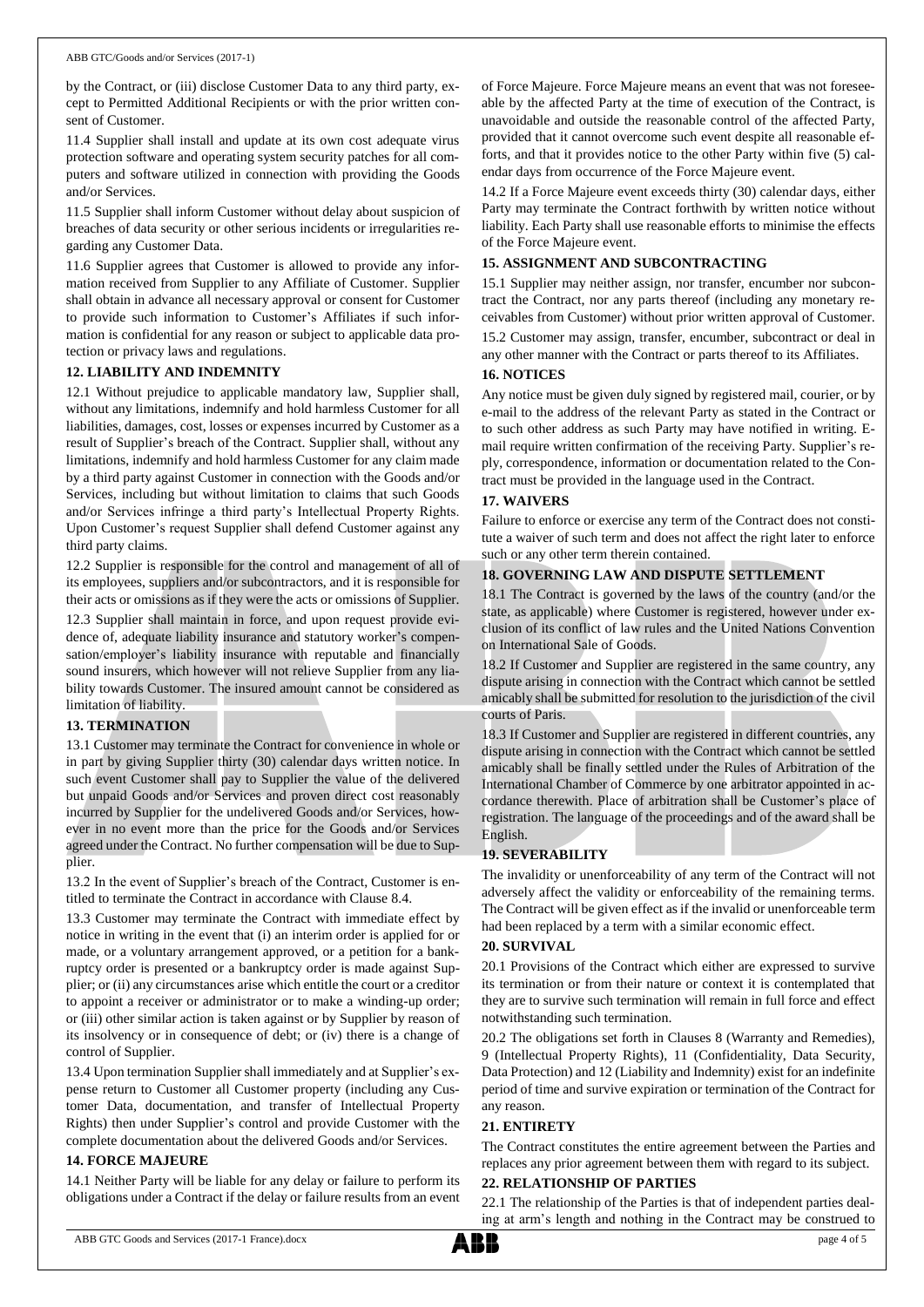by the Contract, or (iii) disclose Customer Data to any third party, except to Permitted Additional Recipients or with the prior written consent of Customer.

11.4 Supplier shall install and update at its own cost adequate virus protection software and operating system security patches for all computers and software utilized in connection with providing the Goods and/or Services.

11.5 Supplier shall inform Customer without delay about suspicion of breaches of data security or other serious incidents or irregularities regarding any Customer Data.

11.6 Supplier agrees that Customer is allowed to provide any information received from Supplier to any Affiliate of Customer. Supplier shall obtain in advance all necessary approval or consent for Customer to provide such information to Customer's Affiliates if such information is confidential for any reason or subject to applicable data protection or privacy laws and regulations.

#### **12. LIABILITY AND INDEMNITY**

12.1 Without prejudice to applicable mandatory law, Supplier shall, without any limitations, indemnify and hold harmless Customer for all liabilities, damages, cost, losses or expenses incurred by Customer as a result of Supplier's breach of the Contract. Supplier shall, without any limitations, indemnify and hold harmless Customer for any claim made by a third party against Customer in connection with the Goods and/or Services, including but without limitation to claims that such Goods and/or Services infringe a third party's Intellectual Property Rights. Upon Customer's request Supplier shall defend Customer against any third party claims.

12.2 Supplier is responsible for the control and management of all of its employees, suppliers and/or subcontractors, and it is responsible for their acts or omissions as if they were the acts or omissions of Supplier.

12.3 Supplier shall maintain in force, and upon request provide evidence of, adequate liability insurance and statutory worker's compensation/employer's liability insurance with reputable and financially sound insurers, which however will not relieve Supplier from any liability towards Customer. The insured amount cannot be considered as limitation of liability.

#### **13. TERMINATION**

13.1 Customer may terminate the Contract for convenience in whole or in part by giving Supplier thirty (30) calendar days written notice. In such event Customer shall pay to Supplier the value of the delivered but unpaid Goods and/or Services and proven direct cost reasonably incurred by Supplier for the undelivered Goods and/or Services, however in no event more than the price for the Goods and/or Services agreed under the Contract. No further compensation will be due to Supplier.

13.2 In the event of Supplier's breach of the Contract, Customer is entitled to terminate the Contract in accordance with Clause 8.4.

13.3 Customer may terminate the Contract with immediate effect by notice in writing in the event that (i) an interim order is applied for or made, or a voluntary arrangement approved, or a petition for a bankruptcy order is presented or a bankruptcy order is made against Supplier; or (ii) any circumstances arise which entitle the court or a creditor to appoint a receiver or administrator or to make a winding-up order; or (iii) other similar action is taken against or by Supplier by reason of its insolvency or in consequence of debt; or (iv) there is a change of control of Supplier.

13.4 Upon termination Supplier shall immediately and at Supplier's expense return to Customer all Customer property (including any Customer Data, documentation, and transfer of Intellectual Property Rights) then under Supplier's control and provide Customer with the complete documentation about the delivered Goods and/or Services.

#### **14. FORCE MAJEURE**

14.1 Neither Party will be liable for any delay or failure to perform its obligations under a Contract if the delay or failure results from an event of Force Majeure. Force Majeure means an event that was not foreseeable by the affected Party at the time of execution of the Contract, is unavoidable and outside the reasonable control of the affected Party, provided that it cannot overcome such event despite all reasonable efforts, and that it provides notice to the other Party within five (5) calendar days from occurrence of the Force Majeure event.

14.2 If a Force Majeure event exceeds thirty (30) calendar days, either Party may terminate the Contract forthwith by written notice without liability. Each Party shall use reasonable efforts to minimise the effects of the Force Majeure event.

### **15. ASSIGNMENT AND SUBCONTRACTING**

15.1 Supplier may neither assign, nor transfer, encumber nor subcontract the Contract, nor any parts thereof (including any monetary receivables from Customer) without prior written approval of Customer. 15.2 Customer may assign, transfer, encumber, subcontract or deal in

any other manner with the Contract or parts thereof to its Affiliates.

#### **16. NOTICES**

Any notice must be given duly signed by registered mail, courier, or by e-mail to the address of the relevant Party as stated in the Contract or to such other address as such Party may have notified in writing. Email require written confirmation of the receiving Party. Supplier's reply, correspondence, information or documentation related to the Contract must be provided in the language used in the Contract.

#### **17. WAIVERS**

Failure to enforce or exercise any term of the Contract does not constitute a waiver of such term and does not affect the right later to enforce such or any other term therein contained.

## **18. GOVERNING LAW AND DISPUTE SETTLEMENT**

18.1 The Contract is governed by the laws of the country (and/or the state, as applicable) where Customer is registered, however under exclusion of its conflict of law rules and the United Nations Convention on International Sale of Goods.

18.2 If Customer and Supplier are registered in the same country, any dispute arising in connection with the Contract which cannot be settled amicably shall be submitted for resolution to the jurisdiction of the civil courts of Paris.

18.3 If Customer and Supplier are registered in different countries, any dispute arising in connection with the Contract which cannot be settled amicably shall be finally settled under the Rules of Arbitration of the International Chamber of Commerce by one arbitrator appointed in accordance therewith. Place of arbitration shall be Customer's place of registration. The language of the proceedings and of the award shall be English.

#### **19. SEVERABILITY**

The invalidity or unenforceability of any term of the Contract will not adversely affect the validity or enforceability of the remaining terms. The Contract will be given effect as if the invalid or unenforceable term had been replaced by a term with a similar economic effect.

#### **20. SURVIVAL**

20.1 Provisions of the Contract which either are expressed to survive its termination or from their nature or context it is contemplated that they are to survive such termination will remain in full force and effect notwithstanding such termination.

20.2 The obligations set forth in Clauses 8 (Warranty and Remedies), 9 (Intellectual Property Rights), 11 (Confidentiality, Data Security, Data Protection) and 12 (Liability and Indemnity) exist for an indefinite period of time and survive expiration or termination of the Contract for any reason.

# **21. ENTIRETY**

The Contract constitutes the entire agreement between the Parties and replaces any prior agreement between them with regard to its subject.

#### **22. RELATIONSHIP OF PARTIES**

22.1 The relationship of the Parties is that of independent parties dealing at arm's length and nothing in the Contract may be construed to